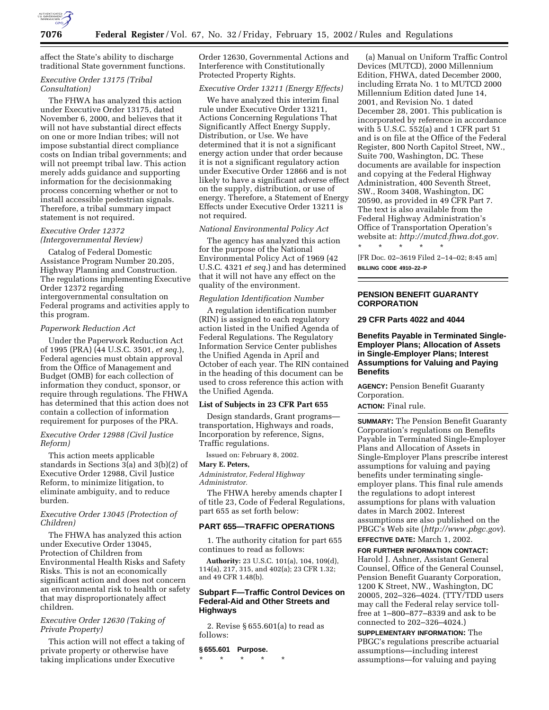

affect the State's ability to discharge traditional State government functions.

# *Executive Order 13175 (Tribal Consultation)*

The FHWA has analyzed this action under Executive Order 13175, dated November 6, 2000, and believes that it will not have substantial direct effects on one or more Indian tribes; will not impose substantial direct compliance costs on Indian tribal governments; and will not preempt tribal law. This action merely adds guidance and supporting information for the decisionmaking process concerning whether or not to install accessible pedestrian signals. Therefore, a tribal summary impact statement is not required.

# *Executive Order 12372 (Intergovernmental Review)*

Catalog of Federal Domestic Assistance Program Number 20.205, Highway Planning and Construction. The regulations implementing Executive Order 12372 regarding intergovernmental consultation on Federal programs and activities apply to this program.

#### *Paperwork Reduction Act*

Under the Paperwork Reduction Act of 1995 (PRA) (44 U.S.C. 3501, *et seq.*), Federal agencies must obtain approval from the Office of Management and Budget (OMB) for each collection of information they conduct, sponsor, or require through regulations. The FHWA has determined that this action does not contain a collection of information requirement for purposes of the PRA.

# *Executive Order 12988 (Civil Justice Reform)*

This action meets applicable standards in Sections 3(a) and 3(b)(2) of Executive Order 12988, Civil Justice Reform, to minimize litigation, to eliminate ambiguity, and to reduce burden.

# *Executive Order 13045 (Protection of Children)*

The FHWA has analyzed this action under Executive Order 13045, Protection of Children from Environmental Health Risks and Safety Risks. This is not an economically significant action and does not concern an environmental risk to health or safety that may disproportionately affect children.

# *Executive Order 12630 (Taking of Private Property)*

This action will not effect a taking of private property or otherwise have taking implications under Executive

Order 12630, Governmental Actions and Interference with Constitutionally Protected Property Rights.

# *Executive Order 13211 (Energy Effects)*

We have analyzed this interim final rule under Executive Order 13211, Actions Concerning Regulations That Significantly Affect Energy Supply, Distribution, or Use. We have determined that it is not a significant energy action under that order because it is not a significant regulatory action under Executive Order 12866 and is not likely to have a significant adverse effect on the supply, distribution, or use of energy. Therefore, a Statement of Energy Effects under Executive Order 13211 is not required.

#### *National Environmental Policy Act*

The agency has analyzed this action for the purpose of the National Environmental Policy Act of 1969 (42 U.S.C. 4321 *et seq.*) and has determined that it will not have any effect on the quality of the environment.

# *Regulation Identification Number*

A regulation identification number (RIN) is assigned to each regulatory action listed in the Unified Agenda of Federal Regulations. The Regulatory Information Service Center publishes the Unified Agenda in April and October of each year. The RIN contained in the heading of this document can be used to cross reference this action with the Unified Agenda.

#### **List of Subjects in 23 CFR Part 655**

Design standards, Grant programs transportation, Highways and roads, Incorporation by reference, Signs, Traffic regulations.

Issued on: February 8, 2002.

#### **Mary E. Peters,**

*Administrator, Federal Highway Administrator.*

The FHWA hereby amends chapter I of title 23, Code of Federal Regulations, part 655 as set forth below:

# **PART 655—TRAFFIC OPERATIONS**

1. The authority citation for part 655 continues to read as follows:

**Authority:** 23 U.S.C. 101(a), 104, 109(d), 114(a), 217, 315, and 402(a); 23 CFR 1.32; and 49 CFR 1.48(b).

# **Subpart F—Traffic Control Devices on Federal-Aid and Other Streets and Highways**

2. Revise § 655.601(a) to read as follows:

#### **§ 655.601 Purpose.**

\* \* \* \* \*

(a) Manual on Uniform Traffic Control Devices (MUTCD), 2000 Millennium Edition, FHWA, dated December 2000, including Errata No. 1 to MUTCD 2000 Millennium Edition dated June 14, 2001, and Revision No. 1 dated December 28, 2001. This publication is incorporated by reference in accordance with 5 U.S.C. 552(a) and 1 CFR part 51 and is on file at the Office of the Federal Register, 800 North Capitol Street, NW., Suite 700, Washington, DC. These documents are available for inspection and copying at the Federal Highway Administration, 400 Seventh Street, SW., Room 3408, Washington, DC 20590, as provided in 49 CFR Part 7. The text is also available from the Federal Highway Administration's Office of Transportation Operation's website at: *http://mutcd.fhwa.dot.gov.* \* \* \* \* \*

[FR Doc. 02–3619 Filed 2–14–02; 8:45 am] **BILLING CODE 4910–22–P**

# **PENSION BENEFIT GUARANTY CORPORATION**

# **29 CFR Parts 4022 and 4044**

**Benefits Payable in Terminated Single-Employer Plans; Allocation of Assets in Single-Employer Plans; Interest Assumptions for Valuing and Paying Benefits**

**AGENCY:** Pension Benefit Guaranty Corporation.

**ACTION:** Final rule.

**SUMMARY:** The Pension Benefit Guaranty Corporation's regulations on Benefits Payable in Terminated Single-Employer Plans and Allocation of Assets in Single-Employer Plans prescribe interest assumptions for valuing and paying benefits under terminating singleemployer plans. This final rule amends the regulations to adopt interest assumptions for plans with valuation dates in March 2002. Interest assumptions are also published on the PBGC's Web site (*http://www.pbgc.gov*).

# **EFFECTIVE DATE:** March 1, 2002.

**FOR FURTHER INFORMATION CONTACT:** Harold J. Ashner, Assistant General Counsel, Office of the General Counsel, Pension Benefit Guaranty Corporation, 1200 K Street, NW., Washington, DC 20005, 202–326–4024. (TTY/TDD users may call the Federal relay service tollfree at 1–800–877–8339 and ask to be connected to 202–326–4024.)

**SUPPLEMENTARY INFORMATION:** The PBGC's regulations prescribe actuarial assumptions—including interest assumptions—for valuing and paying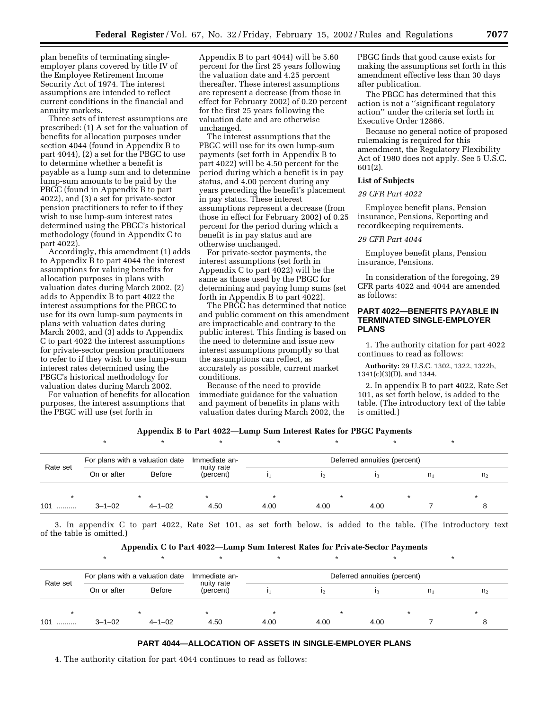plan benefits of terminating singleemployer plans covered by title IV of the Employee Retirement Income Security Act of 1974. The interest assumptions are intended to reflect current conditions in the financial and annuity markets.

Three sets of interest assumptions are prescribed: (1) A set for the valuation of benefits for allocation purposes under section 4044 (found in Appendix B to part 4044), (2) a set for the PBGC to use to determine whether a benefit is payable as a lump sum and to determine lump-sum amounts to be paid by the PBGC (found in Appendix B to part 4022), and (3) a set for private-sector pension practitioners to refer to if they wish to use lump-sum interest rates determined using the PBGC's historical methodology (found in Appendix C to part 4022).

Accordingly, this amendment (1) adds to Appendix B to part 4044 the interest assumptions for valuing benefits for allocation purposes in plans with valuation dates during March 2002, (2) adds to Appendix B to part 4022 the interest assumptions for the PBGC to use for its own lump-sum payments in plans with valuation dates during March 2002, and (3) adds to Appendix C to part 4022 the interest assumptions for private-sector pension practitioners to refer to if they wish to use lump-sum interest rates determined using the PBGC's historical methodology for valuation dates during March 2002.

For valuation of benefits for allocation purposes, the interest assumptions that the PBGC will use (set forth in

Appendix B to part 4044) will be 5.60 percent for the first 25 years following the valuation date and 4.25 percent thereafter. These interest assumptions are represent a decrease (from those in effect for February 2002) of 0.20 percent for the first 25 years following the valuation date and are otherwise unchanged.

The interest assumptions that the PBGC will use for its own lump-sum payments (set forth in Appendix B to part 4022) will be 4.50 percent for the period during which a benefit is in pay status, and 4.00 percent during any years preceding the benefit's placement in pay status. These interest assumptions represent a decrease (from those in effect for February 2002) of 0.25 percent for the period during which a benefit is in pay status and are otherwise unchanged.

For private-sector payments, the interest assumptions (set forth in Appendix C to part 4022) will be the same as those used by the PBGC for determining and paying lump sums (set forth in Appendix B to part 4022).

The PBGC has determined that notice and public comment on this amendment are impracticable and contrary to the public interest. This finding is based on the need to determine and issue new interest assumptions promptly so that the assumptions can reflect, as accurately as possible, current market conditions.

Because of the need to provide immediate guidance for the valuation and payment of benefits in plans with valuation dates during March 2002, the PBGC finds that good cause exists for making the assumptions set forth in this amendment effective less than 30 days after publication.

The PBGC has determined that this action is not a ''significant regulatory action'' under the criteria set forth in Executive Order 12866.

Because no general notice of proposed rulemaking is required for this amendment, the Regulatory Flexibility Act of 1980 does not apply. See 5 U.S.C. 601(2).

### **List of Subjects**

#### *29 CFR Part 4022*

Employee benefit plans, Pension insurance, Pensions, Reporting and recordkeeping requirements.

# *29 CFR Part 4044*

Employee benefit plans, Pension insurance, Pensions.

In consideration of the foregoing, 29 CFR parts 4022 and 4044 are amended as follows:

# **PART 4022—BENEFITS PAYABLE IN TERMINATED SINGLE-EMPLOYER PLANS**

1. The authority citation for part 4022 continues to read as follows:

**Authority:** 29 U.S.C. 1302, 1322, 1322b, 1341(c)(3)(D), and 1344.

2. In appendix B to part 4022, Rate Set 101, as set forth below, is added to the table. (The introductory text of the table is omitted.)

# **Appendix B to Part 4022—Lump Sum Interest Rates for PBGC Payments**

| Rate set | For plans with a valuation date |              | Immediate an-           | Deferred annuities (percent) |      |      |                |                |  |  |
|----------|---------------------------------|--------------|-------------------------|------------------------------|------|------|----------------|----------------|--|--|
|          | On or after                     | Before       | nuity rate<br>(percent) |                              | 12   |      | n <sub>1</sub> | n <sub>2</sub> |  |  |
|          |                                 |              |                         |                              |      |      |                |                |  |  |
| 101      | $3 - 1 - 02$                    | $4 - 1 - 02$ | 4.50                    | 4.00                         | 4.00 | 4.00 |                |                |  |  |

3. In appendix C to part 4022, Rate Set 101, as set forth below, is added to the table. (The introductory text of the table is omitted.)

| Appendix C to Part 4022—Lump Sum Interest Rates for Private-Sector Payments |  |
|-----------------------------------------------------------------------------|--|
|-----------------------------------------------------------------------------|--|

| Rate set | For plans with a valuation date |               | Immediate an-<br>nuity rate | Deferred annuities (percent) |      |      |                |                |  |  |
|----------|---------------------------------|---------------|-----------------------------|------------------------------|------|------|----------------|----------------|--|--|
|          | On or after                     | <b>Before</b> | (percent)                   |                              |      |      | n <sub>1</sub> | n <sub>2</sub> |  |  |
|          |                                 |               |                             |                              |      |      |                |                |  |  |
| 101      | $3 - 1 - 02$                    | $4 - 1 - 02$  | 4.50                        | 4.00                         | 4.00 | 4.00 |                |                |  |  |

### **PART 4044—ALLOCATION OF ASSETS IN SINGLE-EMPLOYER PLANS**

4. The authority citation for part 4044 continues to read as follows: